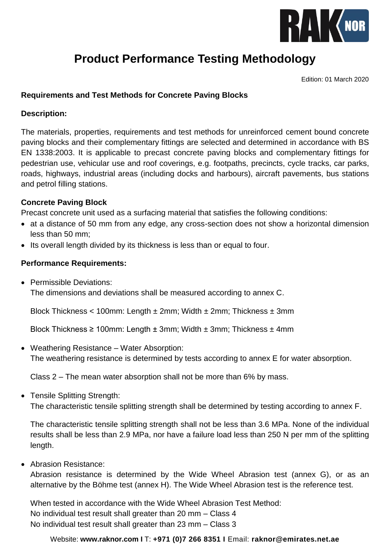

# **Product Performance Testing Methodology**

Edition: 01 March 2020

## **Requirements and Test Methods for Concrete Paving Blocks**

#### **Description:**

The materials, properties, requirements and test methods for unreinforced cement bound concrete paving blocks and their complementary fittings are selected and determined in accordance with BS EN 1338:2003. It is applicable to precast concrete paving blocks and complementary fittings for pedestrian use, vehicular use and roof coverings, e.g. footpaths, precincts, cycle tracks, car parks, roads, highways, industrial areas (including docks and harbours), aircraft pavements, bus stations and petrol filling stations.

#### **Concrete Paving Block**

Precast concrete unit used as a surfacing material that satisfies the following conditions:

- at a distance of 50 mm from any edge, any cross-section does not show a horizontal dimension less than 50 mm;
- Its overall length divided by its thickness is less than or equal to four.

## **Performance Requirements:**

• Permissible Deviations:

The dimensions and deviations shall be measured according to annex C.

Block Thickness < 100mm: Length  $\pm$  2mm; Width  $\pm$  2mm; Thickness  $\pm$  3mm

Block Thickness  $\geq 100$ mm: Length  $\pm 3$ mm; Width  $\pm 3$ mm; Thickness  $\pm 4$ mm

Weathering Resistance – Water Absorption:

The weathering resistance is determined by tests according to annex E for water absorption.

Class 2 – The mean water absorption shall not be more than 6% by mass.

• Tensile Splitting Strength:

The characteristic tensile splitting strength shall be determined by testing according to annex F.

The characteristic tensile splitting strength shall not be less than 3.6 MPa. None of the individual results shall be less than 2.9 MPa, nor have a failure load less than 250 N per mm of the splitting length.

Abrasion Resistance:

Abrasion resistance is determined by the Wide Wheel Abrasion test (annex G), or as an alternative by the Böhme test (annex H). The Wide Wheel Abrasion test is the reference test.

When tested in accordance with the Wide Wheel Abrasion Test Method: No individual test result shall greater than 20 mm – Class 4 No individual test result shall greater than 23 mm – Class 3

Website: **[www.raknor.com](http://www.raknor.com/) I** T: **+971 (0)7 266 8351 I** Email: **[raknor@emirates.net.ae](mailto:raknor@emirates.net.ae)**